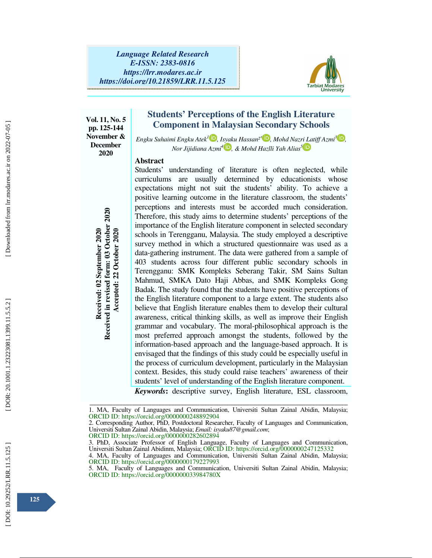

**Vol. 11, No. 5 pp. 125-144 November & December 2020** 

**Students' Perceptions of the English Literature Component in Malaysian Secondary Schools**

*Engku Suhaimi Engku Atek<sup>1</sup> D</mark>, Isyaku Hassan<sup>2\*</sup> D, Mohd Nazri Latiff Azmi<sup>3</sup> D, Nor Jijidiana Azmi<sup>4</sup> , & Mohd Hazlli Yah Alias 5*

### **Abstract**

Students' understanding of literature is often neglected, while curriculums are usually determined by educationists whose expectations might not suit the students' ability. To achieve a positive learning outcome in the literature classroom, the students' perceptions and interests must be accorded much consideration. Therefore, this study aims to determine students' perceptions of the importance of the English literature component in selected secondary schools in Terengganu, Malaysia. The study employed a descriptive survey method in which a structured questionnaire was used as a data-gathering instrument. The data were gathered from a sample of 403 students across four different public secondary schools in Terengganu: SMK Kompleks Seberang Takir, SM Sains Sultan Mahmud, SMKA Dato Haji Abbas, and SMK Kompleks Gong Badak. The study found that the students have positive perceptions of the English literature component to a large extent. The students also believe that English literature enables them to develop their cultural awareness, critical thinking skills, as well as improve their English grammar and vocabulary. The moral-philosophical approach is the most preferred approach amongst the students, followed by the information-based approach and the language-based approach. It is envisaged that the findings of this study could be especially useful in the process of curriculum development, particularly in the Malaysian context. Besides, this study could raise teachers' awareness of their students' level of understanding of the English literature component. Preferred of the English literature of the English in Terefore, this study aims to importance of the English literature. The study of Terengganu: SMK Komple Mahmud, SMKA Dato Ha data-gathering instrument. The study found t

*Keywords* **:** descriptive survey, English literature, ESL classroom,

ORCID ID: https://orcid.org/0000000282602894 3. PhD, Associate Professor of English Language, Faculty of Languages and Communication,

ــــــــــــــــــــــــــــــــــــــــــــــــــــــــــــــــــــــــــــــــــــــــــــــــــــــــــــــــــــــــــــــــــــــــــــــــــــــــــــــــــــــــــــــــــــــــــــــــــــــــــــــــــــــــــــــــــــــــــــــــــــــــــــــــــــــــــــ 1. MA, Faculty of Languages and Communication, Universiti Sultan Zainal Abidin, Malaysia; ORCID ID: https://orcid.org/0000000248892904

<sup>2.</sup> Corresponding Author, PhD, Postdoctoral Researcher, Faculty of Languages and Communication, Universiti Sultan Zainal Abidin, Malaysia; *Email: isyaku87@gmail.com*;

Universiti Sultan Zainal Abidinm, Malaysia; ORCID ID: https://orcid.org/0000000247125332

<sup>4.</sup> MA, Faculty of Languages and Communication, Universiti Sultan Zainal Abidin, Malaysia; ORCID ID: https://orcid.org/0000000179227993

<sup>5.</sup> MA, Faculty of Languages and Communication, Universiti Sultan Zainal Abidin, Malaysia; ORCID ID: https://orcid.org/000000033984780X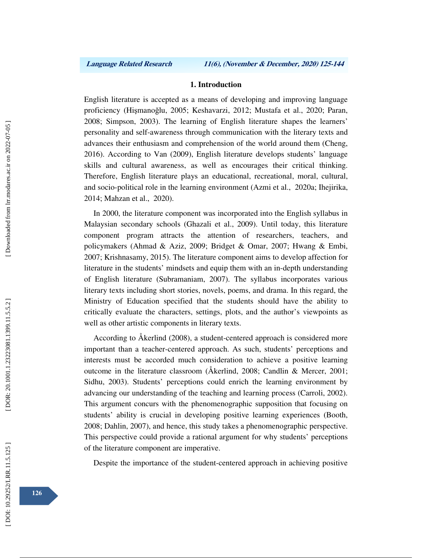### **1. Introduction**

English literature is accepted as a means of developing and improving language proficiency (Hi şmano ğlu, 2005; Keshavarzi, 2012; Mustafa et al., 2020; Paran, 2008; Simpson, 2003). The learning of English literature shapes the learners' personality and self-awareness through communication with the literary texts and advances their enthusiasm and comprehension of the world around them (Cheng, 2016). According to Van (2009), English literature develops students' language skills and cultural awareness, as well as encourages their critical thinking. Therefore, English literature plays an educational, recreational, moral, cultural, and socio-political role in the learning environment (Azmi et al., 2020a; Ihejirika, 2014; Mahzan et al., 2020).

In 2000, the literature component was incorporated into the English syllabus in Malaysian secondary schools (Ghazali et al., 2009). Until today, this literature component program attracts the attention of researchers, teachers, and policymakers (Ahmad & Aziz, 2009; Bridget & Omar, 2007; Hwang & Embi, 2007; Krishnasamy, 2015). The literature component aims to develop affection for literature in the students' mindsets and equip them with an in-depth understanding of English literature (Subramaniam, 2007). The syllabus incorporates various literary texts including short stories, novels, poems, and drama. In this regard, the Ministry of Education specified that the students should have the ability to critically evaluate the characters, settings, plots, and the author's viewpoints as well as other artistic components in literary texts.

According to Åkerlind (2008), a student-centered approach is considered more important than a teacher-centered approach. As such, students' perceptions and interests must be accorded much consideration to achieve a positive learning outcome in the literature classroom (Åkerlind, 2008; Candlin & Mercer, 2001; Sidhu, 2003). Students' perceptions could enrich the learning environment by advancing our understanding of the teaching and learning process (Carroli, 2002). This argument concurs with the phenomenographic supposition that focusing on students' ability is crucial in developing positive learning experiences (Booth, 2008; Dahlin, 2007), and hence, this study takes a phenomenographic perspective. This perspective could provide a rational argument for why students' perceptions of the literature component are imperative.

Despite the importance of the student-centered approach in achieving positive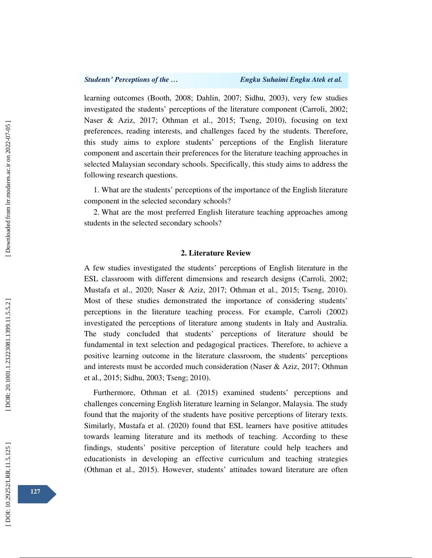learning outcomes (Booth, 2008; Dahlin, 2007; Sidhu, 2003), very few studies investigated the students' perceptions of the literature component (Carroli, 2002; Naser & Aziz, 2017; Othman et al., 2015; Tseng, 2010), focusing on text preferences, reading interests, and challenges faced by the students. Therefore, this study aims to explore students' perceptions of the English literature component and ascertain their preferences for the literature teaching approaches in selected Malaysian secondary schools. Specifically, this study aims to address the following research questions.

1. What are the students' perceptions of the importance of the English literature component in the selected secondary schools?

2. What are the most preferred English literature teaching approaches among students in the selected secondary schools?

### **2. Literature Review**

A few studies investigated the students' perceptions of English literature in the ESL classroom with different dimensions and research designs (Carroli, 2002; Mustafa et al., 2020; Naser & Aziz, 2017; Othman et al., 2015; Tseng, 2010). Most of these studies demonstrated the importance of considering students' perceptions in the literature teaching process. For example, Carroli (2002) investigated the perceptions of literature among students in Italy and Australia. The study concluded that students' perceptions of literature should be fundamental in text selection and pedagogical practices. Therefore, to achieve a positive learning outcome in the literature classroom, the students' perceptions and interests must be accorded much consideration (Naser & Aziz, 2017; Othman et al., 2015; Sidhu, 2003; Tseng; 2010).

Furthermore, Othman et al. (2015) examined students' perceptions and challenges concerning English literature learning in Selangor, Malaysia. The study found that the majority of the students have positive perceptions of literary texts. Similarly, Mustafa et al. (2020) found that ESL learners have positive attitudes towards learning literature and its methods of teaching. According to these findings, students' positive perception of literature could help teachers and educationists in developing an effective curriculum and teaching strategies (Othman et al., 2015). However, students' attitudes toward literature are often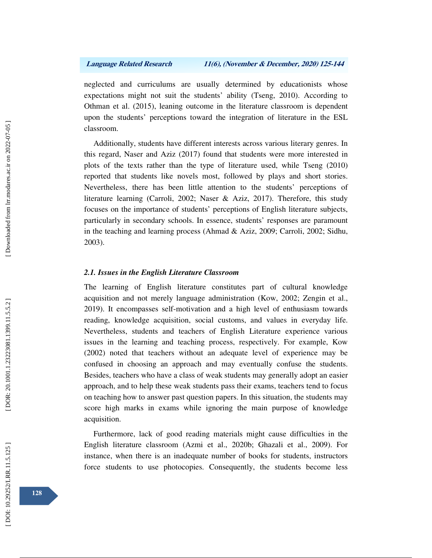neglected and curriculums are usually determined by educationists whose expectations might not suit the students' ability (Tseng, 2010). According to Othman et al. (2015), leaning outcome in the literature classroom is dependent upon the students' perceptions toward the integration of literature in the ESL classroom.

Additionally, students have different interests across various literary genres. In this regard, Naser and Aziz (2017) found that students were more interested in plots of the texts rather than the type of literature used, while Tseng (2010) reported that students like novels most, followed by plays and short stories. Nevertheless, there has been little attention to the students' perceptions of literature learning (Carroli, 2002; Naser & Aziz, 2017). Therefore, this study focuses on the importance of students' perceptions of English literature subjects, particularly in secondary schools. In essence, students' responses are paramount in the teaching and learning process (Ahmad & Aziz, 2009; Carroli, 2002; Sidhu, 2003).

# *2.1. Issues in the English Literature Classroom*

The learning of English literature constitutes part of cultural knowledge acquisition and not merely language administration (Kow, 2002; Zengin et al., 2019). It encompasses self-motivation and a high level of enthusiasm towards reading, knowledge acquisition, social customs, and values in everyday life. Nevertheless, students and teachers of English Literature experience various issues in the learning and teaching process, respectively. For example, Kow (2002) noted that teachers without an adequate level of experience may be confused in choosing an approach and may eventually confuse the students. Besides, teachers who have a class of weak students may generally adopt an easier approach, and to help these weak students pass their exams, teachers tend to focus on teaching how to answer past question papers. In this situation, the students may score high marks in exams while ignoring the main purpose of knowledge acquisition.

Furthermore, lack of good reading materials might cause difficulties in the English literature classroom (Azmi et al., 2020b; Ghazali et al., 2009). For instance, when there is an inadequate number of books for students, instructors force students to use photocopies. Consequently, the students become less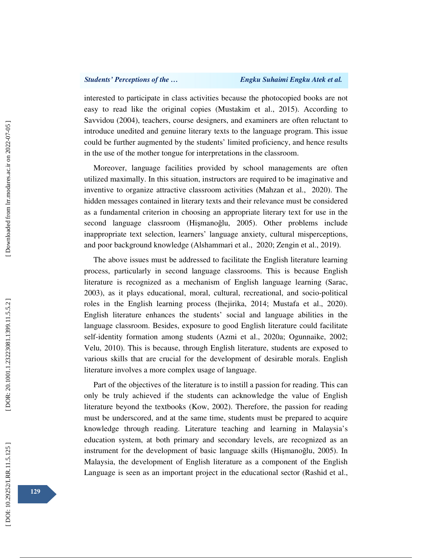interested to participate in class activities because the photocopied books are not easy to read like the original copies (Mustakim et al., 2015). According to Savvidou (2004), teachers, course designers, and examiners are often reluctant to introduce unedited and genuine literary texts to the language program. This issue could be further augmented by the students' limited proficiency, and hence results in the use of the mother tongue for interpretations in the classroom.

Moreover, language facilities provided by school managements are often utilized maximally. In this situation, instructors are required to be imaginative and inventive to organize attractive classroom activities (Mahzan et al., 2020). The hidden messages contained in literary texts and their relevance must be considered as a fundamental criterion in choosing an appropriate literary text for use in the second language classroom (Hi şmano ğlu, 2005). Other problems include inappropriate text selection, learners' language anxiety, cultural misperceptions, and poor background knowledge (Alshammari et al., 2020; Zengin et al., 2019).

The above issues must be addressed to facilitate the English literature learning process, particularly in second language classrooms. This is because English literature is recognized as a mechanism of English language learning (Sarac, 2003), as it plays educational, moral, cultural, recreational, and socio-political roles in the English learning process (Ihejirika, 2014; Mustafa et al., 2020). English literature enhances the students' social and language abilities in the language classroom. Besides, exposure to good English literature could facilitate self-identity formation among students (Azmi et al., 2020a; Ogunnaike, 2002; Velu, 2010). This is because, through English literature, students are exposed to various skills that are crucial for the development of desirable morals. English literature involves a more complex usage of language.

Part of the objectives of the literature is to instill a passion for reading. This can only be truly achieved if the students can acknowledge the value of English literature beyond the textbooks (Kow, 2002). Therefore, the passion for reading must be underscored, and at the same time, students must be prepared to acquire knowledge through reading. Literature teaching and learning in Malaysia's education system, at both primary and secondary levels, are recognized as an instrument for the development of basic language skills (Hi şmano ğlu, 2005). In Malaysia, the development of English literature as a component of the English Language is seen as an important project in the educational sector (Rashid et al.,

DOI: 10.29252/LRR.11.5.125]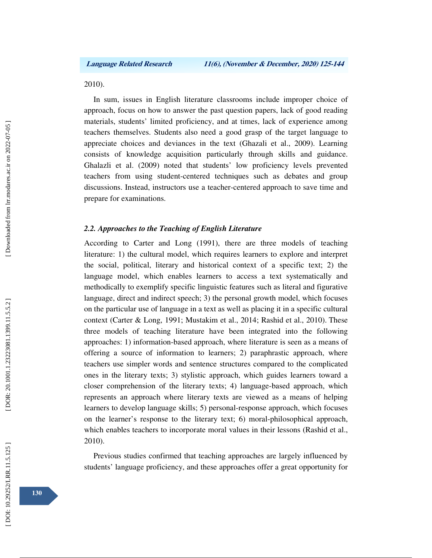2010).

In sum, issues in English literature classrooms include improper choice of approach, focus on how to answer the past question papers, lack of good reading materials, students' limited proficiency, and at times, lack of experience among teachers themselves. Students also need a good grasp of the target language to appreciate choices and deviances in the text (Ghazali et al., 2009). Learning consists of knowledge acquisition particularly through skills and guidance. Ghalazli et al. (2009) noted that students' low proficiency levels prevented teachers from using student-centered techniques such as debates and group discussions. Instead, instructors use a teacher-centered approach to save time and prepare for examinations.

# *2.2. Approaches to the Teaching of English Literature*

According to Carter and Long (1991), there are three models of teaching literature: 1) the cultural model, which requires learners to explore and interpret the social, political, literary and historical context of a specific text; 2) the language model, which enables learners to access a text systematically and methodically to exemplify specific linguistic features such as literal and figurative language, direct and indirect speech; 3) the personal growth model, which focuses on the particular use of language in a text as well as placing it in a specific cultural context (Carter & Long, 1991; Mustakim et al., 2014; Rashid et al., 2010). These three models of teaching literature have been integrated into the following approaches: 1) information-based approach, where literature is seen as a means of offering a source of information to learners; 2) paraphrastic approach, where teachers use simpler words and sentence structures compared to the complicated ones in the literary texts; 3) stylistic approach, which guides learners toward a closer comprehension of the literary texts; 4) language-based approach, which represents an approach where literary texts are viewed as a means of helping learners to develop language skills; 5) personal-response approach, which focuses on the learner's response to the literary text; 6) moral-philosophical approach, which enables teachers to incorporate moral values in their lessons (Rashid et al., 2010).

Previous studies confirmed that teaching approaches are largely influenced by students' language proficiency, and these approaches offer a great opportunity for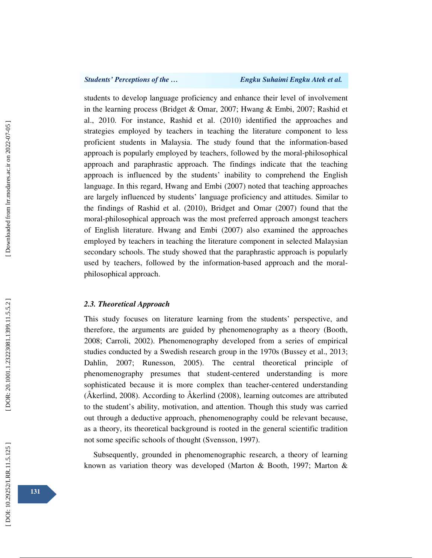### *Students' Perceptions of the … Engku Suhaimi Engku Atek et al.*

students to develop language proficiency and enhance their level of involvement in the learning process (Bridget & Omar, 2007; Hwang & Embi, 2007; Rashid et al., 2010. For instance, Rashid et al. (2010) identified the approaches and strategies employed by teachers in teaching the literature component to less proficient students in Malaysia. The study found that the information-based approach is popularly employed by teachers, followed by the moral-philosophical approach and paraphrastic approach. The findings indicate that the teaching approach is influenced by the students' inability to comprehend the English language. In this regard, Hwang and Embi (2007) noted that teaching approaches are largely influenced by students' language proficiency and attitudes. Similar to the findings of Rashid et al. (2010), Bridget and Omar (2007) found that the moral-philosophical approach was the most preferred approach amongst teachers of English literature. Hwang and Embi (2007) also examined the approaches employed by teachers in teaching the literature component in selected Malaysian secondary schools. The study showed that the paraphrastic approach is popularly used by teachers, followed by the information-based approach and the moralphilosophical approach.

## *2.3. Theoretical Approach*

This study focuses on literature learning from the students' perspective, and therefore, the arguments are guided by phenomenography as a theory (Booth, 2008; Carroli, 2002). Phenomenography developed from a series of empirical studies conducted by a Swedish research group in the 1970s (Bussey et al., 2013; Dahlin, 2007; Runesson, 2005). The central theoretical principle of phenomenography presumes that student-centered understanding is more sophisticated because it is more complex than teacher-centered understanding (Åkerlind, 2008). According to Åkerlind (2008), learning outcomes are attributed to the student's ability, motivation, and attention. Though this study was carried out through a deductive approach, phenomenography could be relevant because, as a theory, its theoretical background is rooted in the general scientific tradition not some specific schools of thought (Svensson, 1997).

Subsequently, grounded in phenomenographic research, a theory of learning known as variation theory was developed (Marton & Booth, 1997; Marton &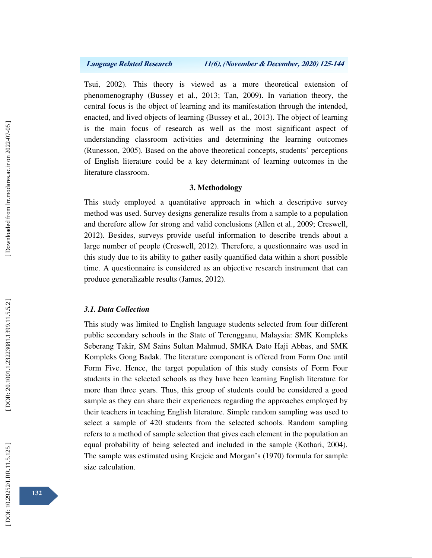Tsui, 2002). This theory is viewed as a more theoretical extension of phenomenography (Bussey et al., 2013; Tan, 2009). In variation theory, the central focus is the object of learning and its manifestation through the intended, enacted, and lived objects of learning (Bussey et al., 2013). The object of learning is the main focus of research as well as the most significant aspect of understanding classroom activities and determining the learning outcomes (Runesson, 2005). Based on the above theoretical concepts, students' perceptions of English literature could be a key determinant of learning outcomes in the literature classroom.

# **3. Methodology**

This study employed a quantitative approach in which a descriptive survey method was used. Survey designs generalize results from a sample to a population and therefore allow for strong and valid conclusions (Allen et al., 2009; Creswell, 2012). Besides, surveys provide useful information to describe trends about a large number of people (Creswell, 2012). Therefore, a questionnaire was used in this study due to its ability to gather easily quantified data within a short possible time. A questionnaire is considered as an objective research instrument that can produce generalizable results (James, 2012).

### *3.1. Data Collection*

This study was limited to English language students selected from four different public secondary schools in the State of Terengganu, Malaysia: SMK Kompleks Seberang Takir, SM Sains Sultan Mahmud, SMKA Dato Haji Abbas, and SMK Kompleks Gong Badak. The literature component is offered from Form One until Form Five. Hence, the target population of this study consists of Form Four students in the selected schools as they have been learning English literature for more than three years. Thus, this group of students could be considered a good sample as they can share their experiences regarding the approaches employed by their teachers in teaching English literature. Simple random sampling was used to select a sample of 420 students from the selected schools. Random sampling refers to a method of sample selection that gives each element in the population an equal probability of being selected and included in the sample (Kothari, 2004). The sample was estimated using Krejcie and Morgan's (1970) formula for sample size calculation.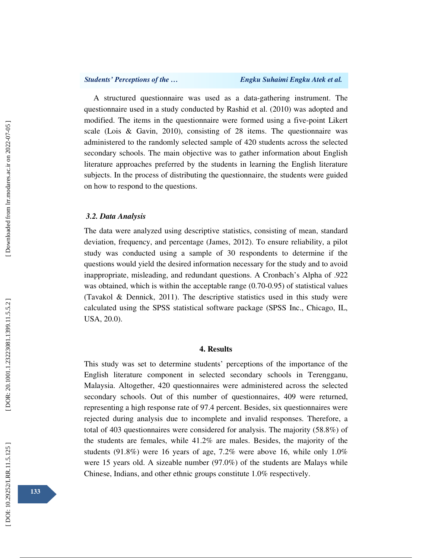A structured questionnaire was used as a data-gathering instrument. The questionnaire used in a study conducted by Rashid et al. (2010) was adopted and modified. The items in the questionnaire were formed using a five-point Likert scale (Lois & Gavin, 2010), consisting of 28 items. The questionnaire was administered to the randomly selected sample of 420 students across the selected secondary schools. The main objective was to gather information about English literature approaches preferred by the students in learning the English literature subjects. In the process of distributing the questionnaire, the students were guided on how to respond to the questions.

## *3.2. Data Analysis*

The data were analyzed using descriptive statistics, consisting of mean, standard deviation, frequency, and percentage (James, 2012). To ensure reliability, a pilot study was conducted using a sample of 30 respondents to determine if the questions would yield the desired information necessary for the study and to avoid inappropriate, misleading, and redundant questions. A Cronbach's Alpha of .922 was obtained, which is within the acceptable range (0.70-0.95) of statistical values (Tavakol & Dennick, 2011). The descriptive statistics used in this study were calculated using the SPSS statistical software package (SPSS Inc., Chicago, IL, USA, 20.0).

# **4. Results**

This study was set to determine students' perceptions of the importance of the English literature component in selected secondary schools in Terengganu, Malaysia. Altogether, 420 questionnaires were administered across the selected secondary schools. Out of this number of questionnaires, 409 were returned, representing a high response rate of 97.4 percent. Besides, six questionnaires were rejected during analysis due to incomplete and invalid responses. Therefore, a total of 403 questionnaires were considered for analysis. The majority (58.8%) of the students are females, while 41.2% are males. Besides, the majority of the students (91.8%) were 16 years of age, 7.2% were above 16, while only 1.0% were 15 years old. A sizeable number (97.0%) of the students are Malays while Chinese, Indians, and other ethnic groups constitute 1.0% respectively.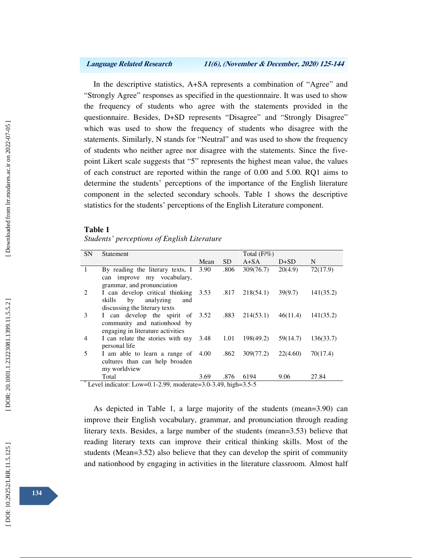In the descriptive statistics, A+SA represents a combination of "Agree" and "Strongly Agree" responses as specified in the questionnaire. It was used to show the frequency of students who agree with the statements provided in the questionnaire. Besides, D+SD represents "Disagree" and "Strongly Disagree" which was used to show the frequency of students who disagree with the statements. Similarly, N stands for "Neutral" and was used to show the frequency of students who neither agree nor disagree with the statements. Since the fivepoint Likert scale suggests that "5" represents the highest mean value, the values of each construct are reported within the range of 0.00 and 5.00. RQ1 aims to determine the students' perceptions of the importance of the English literature component in the selected secondary schools. Table 1 shows the descriptive statistics for the students' perceptions of the English Literature component.

### **Table 1**

| Students' perceptions of English Literature |  |
|---------------------------------------------|--|
|                                             |  |

| <b>SN</b>    | Statement                                                                                            |      |           | Total $(F/\%)$ |          |           |
|--------------|------------------------------------------------------------------------------------------------------|------|-----------|----------------|----------|-----------|
|              |                                                                                                      | Mean | <b>SD</b> | $A + SA$       | D+SD     | N         |
| $\mathbf{1}$ | By reading the literary texts, I<br>can improve my vocabulary,<br>grammar, and pronunciation         | 3.90 | .806      | 309(76.7)      | 20(4.9)  | 72(17.9)  |
| 2            | I can develop critical thinking<br>skills<br>by<br>analyzing<br>and<br>discussing the literary texts | 3.53 | .817      | 218(54.1)      | 39(9.7)  | 141(35.2) |
| 3            | I can develop the spirit of 3.52<br>community and nationhood by<br>engaging in literature activities |      | .883      | 214(53.1)      | 46(11.4) | 141(35.2) |
| 4            | I can relate the stories with my 3.48<br>personal life                                               |      | 1.01      | 198(49.2)      | 59(14.7) | 136(33.7) |
| 5            | I am able to learn a range of 4.00<br>cultures than can help broaden<br>my worldview                 |      | .862      | 309(77.2)      | 22(4.60) | 70(17.4)  |
|              | Total                                                                                                | 3.69 | .876      | 6194           | 9.06     | 27.84     |
|              | Level indicator: Low=0.1-2.99, moderate=3.0-3.49, high=3.5-5                                         |      |           |                |          |           |

As depicted in Table 1, a large majority of the students (mean=3.90) can improve their English vocabulary, grammar, and pronunciation through reading literary texts. Besides, a large number of the students (mean=3.53) believe that

reading literary texts can improve their critical thinking skills. Most of the students (Mean=3.52) also believe that they can develop the spirit of community and nationhood by engaging in activities in the literature classroom. Almost half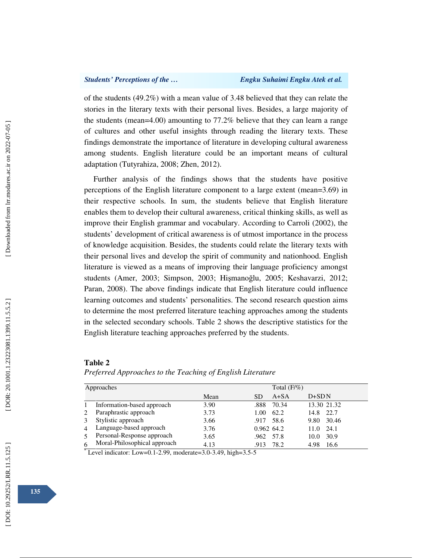of the students (49.2%) with a mean value of 3.48 believed that they can relate the stories in the literary texts with their personal lives. Besides, a large majority of the students (mean=4.00) amounting to 77.2% believe that they can learn a range of cultures and other useful insights through reading the literary texts. These findings demonstrate the importance of literature in developing cultural awareness among students. English literature could be an important means of cultural adaptation (Tutyrahiza, 2008; Zhen, 2012).

Further analysis of the findings shows that the students have positive perceptions of the English literature component to a large extent (mean=3.69) in their respective schools. In sum, the students believe that English literature enables them to develop their cultural awareness, critical thinking skills, as well as improve their English grammar and vocabulary. According to Carroli (2002), the students' development of critical awareness is of utmost importance in the process of knowledge acquisition. Besides, the students could relate the literary texts with their personal lives and develop the spirit of community and nationhood. English literature is viewed as a means of improving their language proficiency amongst students (Amer, 2003; Simpson, 2003; Hi şmano ğlu, 2005; Keshavarzi, 2012; Paran, 2008). The above findings indicate that English literature could influence learning outcomes and students' personalities. The second research question aims to determine the most preferred literature teaching approaches among the students in the selected secondary schools. Table 2 shows the descriptive statistics for the English literature teaching approaches preferred by the students.

### **Table 2**

*Preferred Approaches to the Teaching of English Literature* 

|            | Total $(F/\%)$               |      |                       |               |  |  |  |
|------------|------------------------------|------|-----------------------|---------------|--|--|--|
| Approaches |                              |      |                       |               |  |  |  |
|            |                              | Mean | $A + SA$<br><b>SD</b> | $D+SDN$       |  |  |  |
|            | Information-based approach   | 3.90 | .888<br>70.34         | 13.30 21.32   |  |  |  |
|            | Paraphrastic approach        | 3.73 | 62.2<br>1.00          | 22.7<br>14.8  |  |  |  |
|            | Stylistic approach           | 3.66 | 58.6<br>.917          | 30.46<br>9.80 |  |  |  |
|            | Language-based approach      | 3.76 | $0.962$ 64.2          | 24.1<br>11.0  |  |  |  |
|            | Personal-Response approach   | 3.65 | .962<br>57.8          | 30.9<br>10.0  |  |  |  |
|            | Moral-Philosophical approach | 4.13 | 78.2<br>.913          | 4.98<br>16.6  |  |  |  |

 $*$  Level indicator: Low=0.1-2.99, moderate=3.0-3.49, high=3.5-5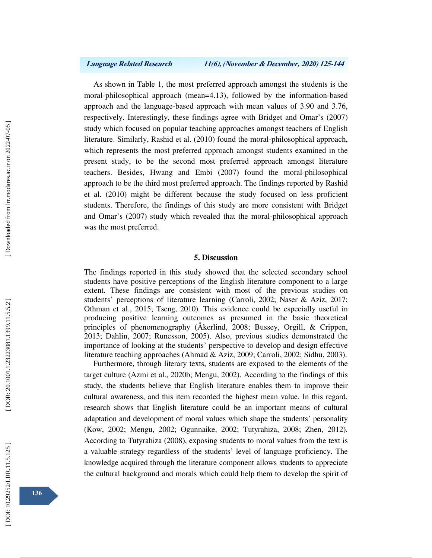As shown in Table 1, the most preferred approach amongst the students is the moral-philosophical approach (mean=4.13), followed by the information-based approach and the language-based approach with mean values of 3.90 and 3.76, respectively. Interestingly, these findings agree with Bridget and Omar's (2007) study which focused on popular teaching approaches amongst teachers of English literature. Similarly, Rashid et al. (2010) found the moral-philosophical approach, which represents the most preferred approach amongst students examined in the present study, to be the second most preferred approach amongst literature teachers. Besides, Hwang and Embi (2007) found the moral-philosophical approach to be the third most preferred approach. The findings reported by Rashid et al. (2010) might be different because the study focused on less proficient students. Therefore, the findings of this study are more consistent with Bridget and Omar's (2007) study which revealed that the moral-philosophical approach was the most preferred.

## **5. Discussion**

The findings reported in this study showed that the selected secondary school students have positive perceptions of the English literature component to a large extent. These findings are consistent with most of the previous studies on students' perceptions of literature learning (Carroli, 2002; Naser & Aziz, 2017; Othman et al., 2015; Tseng, 2010). This evidence could be especially useful in producing positive learning outcomes as presumed in the basic theoretical principles of phenomenography (Åkerlind, 2008; Bussey, Orgill, & Crippen, 2013; Dahlin, 2007; Runesson, 2005). Also, previous studies demonstrated the importance of looking at the students' perspective to develop and design effective literature teaching approaches (Ahmad & Aziz, 2009; Carroli, 2002; Sidhu, 2003).

Furthermore, through literary texts, students are exposed to the elements of the target culture (Azmi et al., 2020b; Mengu, 2002). According to the findings of this study, the students believe that English literature enables them to improve their cultural awareness, and this item recorded the highest mean value. In this regard, research shows that English literature could be an important means of cultural adaptation and development of moral values which shape the students' personality (Kow, 2002; Mengu, 2002; Ogunnaike, 2002; Tutyrahiza, 2008; Zhen, 2012). According to Tutyrahiza (2008), exposing students to moral values from the text is a valuable strategy regardless of the students' level of language proficiency. The knowledge acquired through the literature component allows students to appreciate the cultural background and morals which could help them to develop the spirit of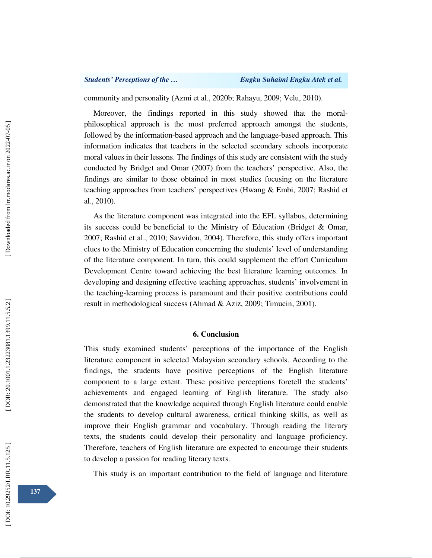community and personality (Azmi et al., 2020b; Rahayu, 2009; Velu, 2010).

Moreover, the findings reported in this study showed that the moralphilosophical approach is the most preferred approach amongst the students, followed by the information-based approach and the language-based approach. This information indicates that teachers in the selected secondary schools incorporate moral values in their lessons. The findings of this study are consistent with the study conducted by Bridget and Omar (2007) from the teachers' perspective. Also, the findings are similar to those obtained in most studies focusing on the literature teaching approaches from teachers' perspectives (Hwang & Embi, 2007; Rashid et al., 2010).

As the literature component was integrated into the EFL syllabus, determining its success could be beneficial to the Ministry of Education (Bridget & Omar, 2007; Rashid et al., 2010; Savvidou, 2004). Therefore, this study offers important clues to the Ministry of Education concerning the students' level of understanding of the literature component. In turn, this could supplement the effort Curriculum Development Centre toward achieving the best literature learning outcomes. In developing and designing effective teaching approaches, students' involvement in the teaching-learning process is paramount and their positive contributions could result in methodological success (Ahmad & Aziz, 2009; Timucin, 2001).

## **6. Conclusion**

This study examined students' perceptions of the importance of the English literature component in selected Malaysian secondary schools. According to the findings, the students have positive perceptions of the English literature component to a large extent. These positive perceptions foretell the students' achievements and engaged learning of English literature. The study also demonstrated that the knowledge acquired through English literature could enable the students to develop cultural awareness, critical thinking skills, as well as improve their English grammar and vocabulary. Through reading the literary texts, the students could develop their personality and language proficiency. Therefore, teachers of English literature are expected to encourage their students to develop a passion for reading literary texts.

This study is an important contribution to the field of language and literature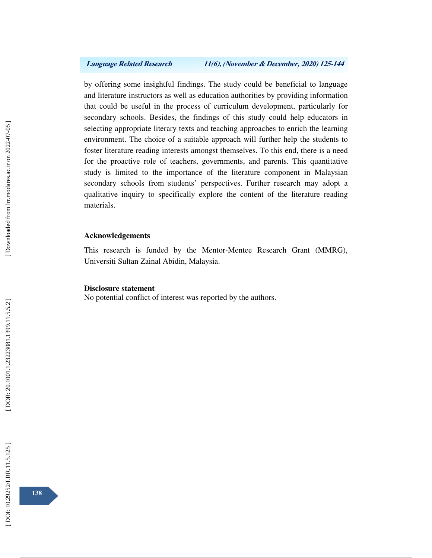by offering some insightful findings. The study could be beneficial to language and literature instructors as well as education authorities by providing information that could be useful in the process of curriculum development, particularly for secondary schools. Besides, the findings of this study could help educators in selecting appropriate literary texts and teaching approaches to enrich the learning environment. The choice of a suitable approach will further help the students to foster literature reading interests amongst themselves. To this end, there is a need for the proactive role of teachers, governments, and parents. This quantitative study is limited to the importance of the literature component in Malaysian secondary schools from students' perspectives. Further research may adopt a qualitative inquiry to specifically explore the content of the literature reading materials.

### **Acknowledgements**

This research is funded by the Mentor-Mentee Research Grant (MMRG), Universiti Sultan Zainal Abidin, Malaysia.

### **Disclosure statement**

No potential conflict of interest was reported by the authors.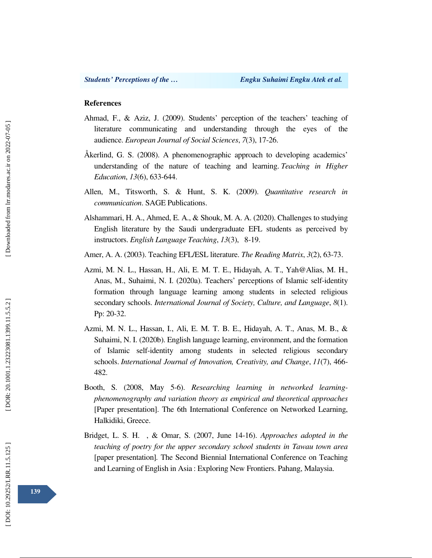## **References**

- Ahmad, F., & Aziz, J. (2009). Students' perception of the teachers' teaching of literature communicating and understanding through the eyes of the audience. *European Journal of Social Sciences*, *7*(3), 17-26.
- Åkerlind, G. S. (2008). A phenomenographic approach to developing academics' understanding of the nature of teaching and learning. *Teaching in Higher Education*, *13*(6), 633-644.
- Allen, M., Titsworth, S. & Hunt, S. K. (2009). *Quantitative research in communication*. SAGE Publications.
- Alshammari, H. A., Ahmed, E. A., & Shouk, M. A. A. (2020). Challenges to studying English literature by the Saudi undergraduate EFL students as perceived by instructors. *English Language Teaching*, *13*(3), 8-19.
- Amer, A. A. (2003). Teaching EFL/ESL literature. *The Reading Matrix*, *3*(2), 63-73.
- Azmi, M. N. L., Hassan, H., Ali, E. M. T. E., Hidayah, A. T., Yah@Alias, M. H., Anas, M., Suhaimi, N. I. (2020a). Teachers' perceptions of Islamic self-identity formation through language learning among students in selected religious secondary schools. *International Journal of Society, Culture, and Language*, *8*(1). Pp: 20-32.
- Azmi, M. N. L., Hassan, I., Ali, E. M. T. B. E., Hidayah, A. T., Anas, M. B., & Suhaimi, N. I. (2020b). English language learning, environment, and the formation of Islamic self-identity among students in selected religious secondary schools. *International Journal of Innovation, Creativity, and Change*, *11*(7), 466- 482.
- Booth, S. (2008, May 5-6). *Researching learning in networked learningphenomenography and variation theory as empirical and theoretical approaches* [Paper presentation]. The 6th International Conference on Networked Learning, Halkidiki, Greece.
- Bridget, L. S. H. , & Omar, S. (2007, June 14-16). *Approaches adopted in the teaching of poetry for the upper secondary school students in Tawau town area*  [paper presentation] *.* The Second Biennial International Conference on Teaching and Learning of English in Asia : Exploring New Frontiers. Pahang, Malaysia.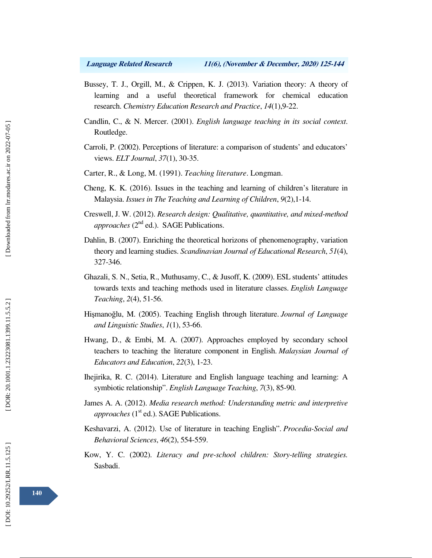- Bussey, T. J., Orgill, M., & Crippen, K. J. (2013). Variation theory: A theory of learning and a useful theoretical framework for chemical education research. *Chemistry Education Research and Practice*, *14*(1),9-22.
- Candlin, C., & N. Mercer. (2001). *English language teaching in its social context*. Routledge.
- Carroli, P. (2002). Perceptions of literature: a comparison of students' and educators' views. *ELT Journal*, *37*(1), 30-35.
- Carter, R., & Long, M. (1991). *Teaching literature*. Longman.
- Cheng, K. K. (2016). Issues in the teaching and learning of children's literature in Malaysia. *Issues in The Teaching and Learning of Children*, *9*(2),1-14.
- Creswell, J. W. (2012). *Research design: Qualitative, quantitative, and mixed-method approaches* (2<sup>nd</sup> ed.). SAGE Publications.
- Dahlin, B. (2007). Enriching the theoretical horizons of phenomenography, variation theory and learning studies. *Scandinavian Journal of Educational Research*, *51*(4), 327-346.
- Ghazali, S. N., Setia, R., Muthusamy, C., & Jusoff, K. (2009). ESL students' attitudes towards texts and teaching methods used in literature classes. *English Language Teaching*, *2*(4), 51-56.
- Hi şmano ğlu, M. (2005). Teaching English through literature. *Journal of Language and Linguistic Studies*, *1*(1), 53-66.
- Hwang, D., & Embi, M. A. (2007). Approaches employed by secondary school teachers to teaching the literature component in English. *Malaysian Journal of Educators and Education*, *22*(3), 1-23.
- Ihejirika, R. C. (2014). Literature and English language teaching and learning: A symbiotic relationship". *English Language Teaching*, *7*(3), 85-90.
- James A. A. (2012). *Media research method: Understanding metric and interpretive approaches* (1<sup>st</sup> ed.). SAGE Publications.
- Keshavarzi, A. (2012). Use of literature in teaching English". *Procedia-Social and Behavioral Sciences*, *46*(2), 554-559.
- Kow, Y. C. (2002). *Literacy and pre-school children: Story-telling strategies.* Sasbadi.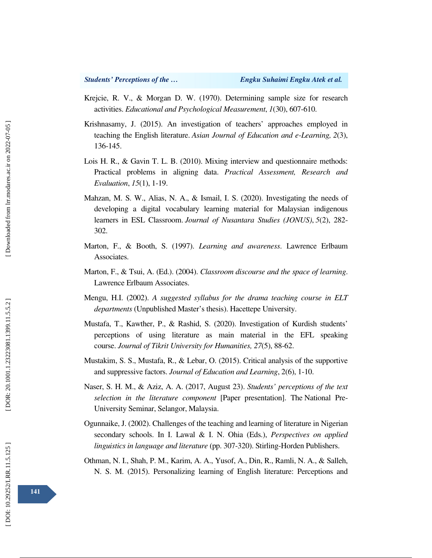- Krejcie, R. V., & Morgan D. W. (1970). Determining sample size for research activities. *Educational and Psychological Measurement*, *1*(30), 607-610.
- Krishnasamy, J. (2015). An investigation of teachers' approaches employed in teaching the English literature. *Asian Journal of Education and e-Learning, 2*(3), 136-145.
- Lois H. R., & Gavin T. L. B. (2010). Mixing interview and questionnaire methods: Practical problems in aligning data. *Practical Assessment, Research and Evaluation*, *15*(1), 1-19.
- Mahzan, M. S. W., Alias, N. A., & Ismail, I. S. (2020). Investigating the needs of developing a digital vocabulary learning material for Malaysian indigenous learners in ESL Classroom. *Journal of Nusantara Studies (JONUS)*, *5*(2), 282- 302.
- Marton, F., & Booth, S. (1997). *Learning and awareness*. Lawrence Erlbaum Associates.
- Marton, F., & Tsui, A. (Ed.). (2004). *Classroom discourse and the space of learning*. Lawrence Erlbaum Associates.
- Mengu, H.I. (2002). *A suggested syllabus for the drama teaching course in ELT departments* (Unpublished Master's thesis). Hacettepe University.
- Mustafa, T., Kawther, P., & Rashid, S. (2020). Investigation of Kurdish students' perceptions of using literature as main material in the EFL speaking course. *Journal of Tikrit University for Humanities, 27*(5), 88-62.
- Mustakim, S. S., Mustafa, R., & Lebar, O. (2015). Critical analysis of the supportive and suppressive factors. *Journal of Education and Learning*, 2(6), 1-10.
- Naser, S. H. M., & Aziz, A. A. (2017, August 23). *Students' perceptions of the text selection in the literature component* [Paper presentation]. The National Pre-University Seminar, Selangor, Malaysia.
- Ogunnaike, J. (2002). Challenges of the teaching and learning of literature in Nigerian secondary schools. In I. Lawal & I. N. Ohia (Eds.), *Perspectives on applied linguistics in language and literature* (pp. 307-320). Stirling-Horden Publishers.
- Othman, N. I., Shah, P. M., Karim, A. A., Yusof, A., Din, R., Ramli, N. A., & Salleh, N. S. M. (2015). Personalizing learning of English literature: Perceptions and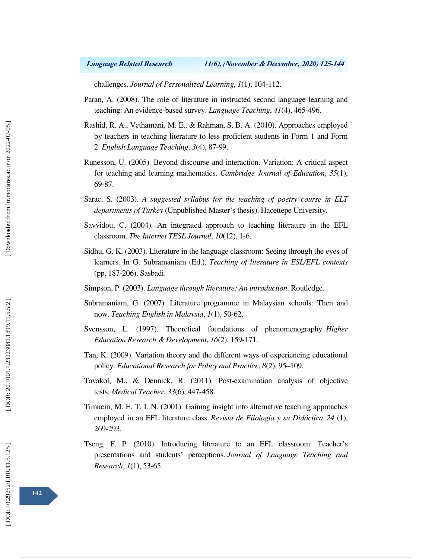challenges. *Journal of Personalized Learning*, *1*(1), 104-112.

- Paran, A. (2008). The role of literature in instructed second language learning and teaching: An evidence-based survey. *Language Teaching*, *41*(4), 465-496.
- Rashid, R. A., Vethamani, M. E., & Rahman, S. B. A. (2010). Approaches employed by teachers in teaching literature to less proficient students in Form 1 and Form 2. *English Language Teaching*, *3*(4), 87-99.
- Runesson, U. (2005). Beyond discourse and interaction. Variation: A critical aspect for teaching and learning mathematics. *Cambridge Journal of Education*, *35*(1), 69-87.
- Sarac, S. (2003). *A suggested syllabus for the teaching of poetry course in ELT departments of Turkey* (Unpublished Master's thesis). Hacettepe University.
- Savvidou, C. (2004). An integrated approach to teaching literature in the EFL classroom. *The Internet TESL Journal*, *10*(12), 1-6.
- Sidhu, G. K. (2003). Literature in the language classroom: Seeing through the eyes of learners. In G. Subramaniam (Ed.), *Teaching of literature in ESL/EFL contexts* (pp. 187-206). Sasbadi.
- Simpson, P. (2003). *Language through literature: An introduction*. Routledge.
- Subramaniam, G. (2007). Literature programme in Malaysian schools: Then and now. *Teaching English in Malaysia*, *1*(1), 50-62.
- Svensson, L. (1997). Theoretical foundations of phenomenography. *Higher Education Research & Development*, *16*(2), 159-171.
- Tan, K. (2009). Variation theory and the different ways of experiencing educational policy. *Educational Research for Policy and Practice*, *8*(2), 95–109.
- Tavakol, M., & Dennick, R. (2011). Post-examination analysis of objective tests. *Medical Teacher*, *33*(6), 447-458.
- Timucin, M. E. T. I. N. (2001). Gaining insight into alternative teaching approaches employed in an EFL literature class. *Revista de Filología y su Didáctica*, *24* (1), 269-293.
- Tseng, F. P. (2010). Introducing literature to an EFL classroom: Teacher's presentations and students' perceptions. *Journal of Language Teaching and Research*, *1*(1), 53-65.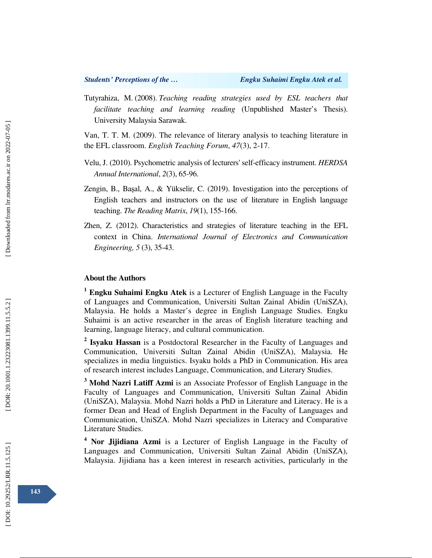Tutyrahiza, M. (2008). *Teaching reading strategies used by ESL teachers that facilitate teaching and learning reading* (Unpublished Master's Thesis). University Malaysia Sarawak.

Van, T. T. M. (2009). The relevance of literary analysis to teaching literature in the EFL classroom. *English Teaching Forum*, *47*(3), 2-17.

- Velu, J. (2010). Psychometric analysis of lecturers' self-efficacy instrument. *HERDSA Annual International*, *2*(3), 65-96.
- Zengin, B., Ba şal, A., & Yükselir, C. (2019). Investigation into the perceptions of English teachers and instructors on the use of literature in English language teaching. *The Reading Matrix*, *19*(1), 155-166.
- Zhen, Z. (2012). Characteristics and strategies of literature teaching in the EFL context in China. *International Journal of Electronics and Communication Engineering, 5* (3), 35-43.

## **About the Authors**

<sup>1</sup> Engku Suhaimi Engku Atek is a Lecturer of English Language in the Faculty of Languages and Communication, Universiti Sultan Zainal Abidin (UniSZA), Malaysia. He holds a Master's degree in English Language Studies. Engku Suhaimi is an active researcher in the areas of English literature teaching and learning, language literacy, and cultural communication.

<sup>2</sup> Isyaku Hassan is a Postdoctoral Researcher in the Faculty of Languages and Communication, Universiti Sultan Zainal Abidin (UniSZA), Malaysia. He specializes in media linguistics. Isyaku holds a PhD in Communication. His area of research interest includes Language, Communication, and Literary Studies.

<sup>3</sup> Mohd Nazri Latiff Azmi is an Associate Professor of English Language in the Faculty of Languages and Communication, Universiti Sultan Zainal Abidin (UniSZA), Malaysia. Mohd Nazri holds a PhD in Literature and Literacy. He is a former Dean and Head of English Department in the Faculty of Languages and Communication, UniSZA. Mohd Nazri specializes in Literacy and Comparative Literature Studies.

<sup>4</sup> Nor Jijidiana Azmi is a Lecturer of English Language in the Faculty of Languages and Communication, Universiti Sultan Zainal Abidin (UniSZA), Malaysia. Jijidiana has a keen interest in research activities, particularly in the